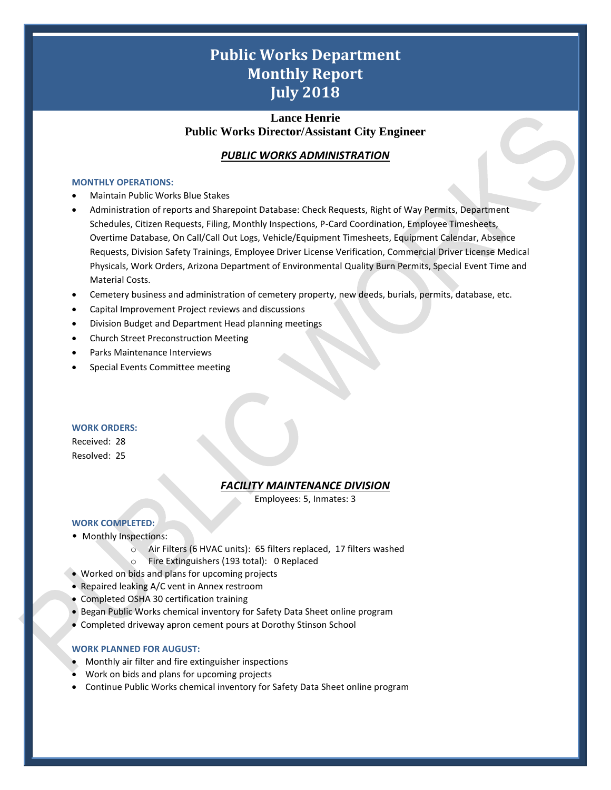# **Public Works Department Monthly Report July 2018**

# **Lance Henrie Public Works Director/Assistant City Engineer**

# *PUBLIC WORKS ADMINISTRATION*

#### **MONTHLY OPERATIONS:**

- Maintain Public Works Blue Stakes
- Administration of reports and Sharepoint Database: Check Requests, Right of Way Permits, Department Schedules, Citizen Requests, Filing, Monthly Inspections, P-Card Coordination, Employee Timesheets, Overtime Database, On Call/Call Out Logs, Vehicle/Equipment Timesheets, Equipment Calendar, Absence Requests, Division Safety Trainings, Employee Driver License Verification, Commercial Driver License Medical Physicals, Work Orders, Arizona Department of Environmental Quality Burn Permits, Special Event Time and Material Costs.
- Cemetery business and administration of cemetery property, new deeds, burials, permits, database, etc.
- Capital Improvement Project reviews and discussions
- Division Budget and Department Head planning meetings
- Church Street Preconstruction Meeting
- Parks Maintenance Interviews
- Special Events Committee meeting

### **WORK ORDERS:**

Received: 28 Resolved: 25

# *FACILITY MAINTENANCE DIVISION*

Employees: 5, Inmates: 3

1

# **WORK COMPLETED:**

- Monthly Inspections:
	- o Air Filters (6 HVAC units): 65 filters replaced, 17 filters washed o Fire Extinguishers (193 total): 0 Replaced
- Worked on bids and plans for upcoming projects
- Repaired leaking A/C vent in Annex restroom
- Completed OSHA 30 certification training
- Began Public Works chemical inventory for Safety Data Sheet online program
- Completed driveway apron cement pours at Dorothy Stinson School

## **WORK PLANNED FOR AUGUST:**

- Monthly air filter and fire extinguisher inspections
- Work on bids and plans for upcoming projects
- Continue Public Works chemical inventory for Safety Data Sheet online program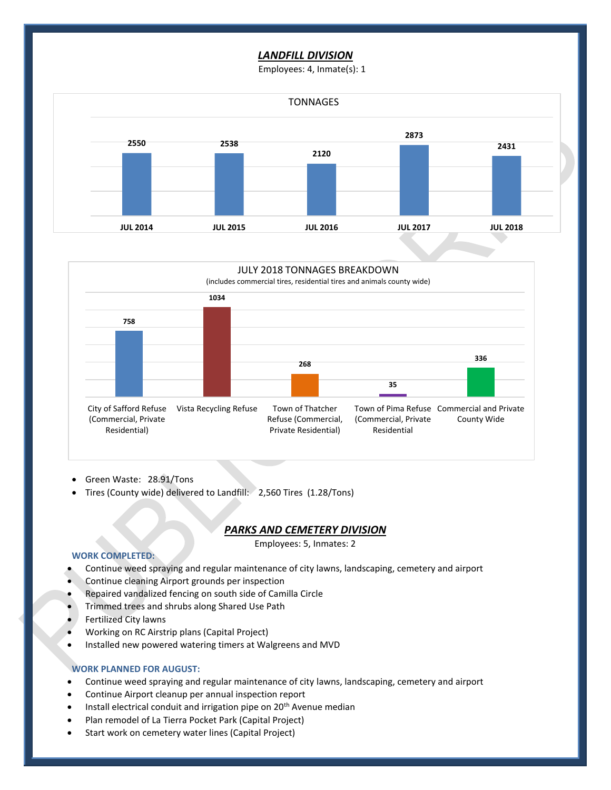# *LANDFILL DIVISION*

Employees: 4, Inmate(s): 1





- Green Waste: 28.91/Tons
- Tires (County wide) delivered to Landfill: 2,560 Tires (1.28/Tons)

## *PARKS AND CEMETERY DIVISION*

Employees: 5, Inmates: 2

2

#### **WORK COMPLETED:**

- Continue weed spraying and regular maintenance of city lawns, landscaping, cemetery and airport
- Continue cleaning Airport grounds per inspection
- Repaired vandalized fencing on south side of Camilla Circle
- Trimmed trees and shrubs along Shared Use Path
- Fertilized City lawns
- Working on RC Airstrip plans (Capital Project)
- Installed new powered watering timers at Walgreens and MVD

# **WORK PLANNED FOR AUGUST:**

- Continue weed spraying and regular maintenance of city lawns, landscaping, cemetery and airport
- Continue Airport cleanup per annual inspection report
- Install electrical conduit and irrigation pipe on 20<sup>th</sup> Avenue median
- Plan remodel of La Tierra Pocket Park (Capital Project)
- Start work on cemetery water lines (Capital Project)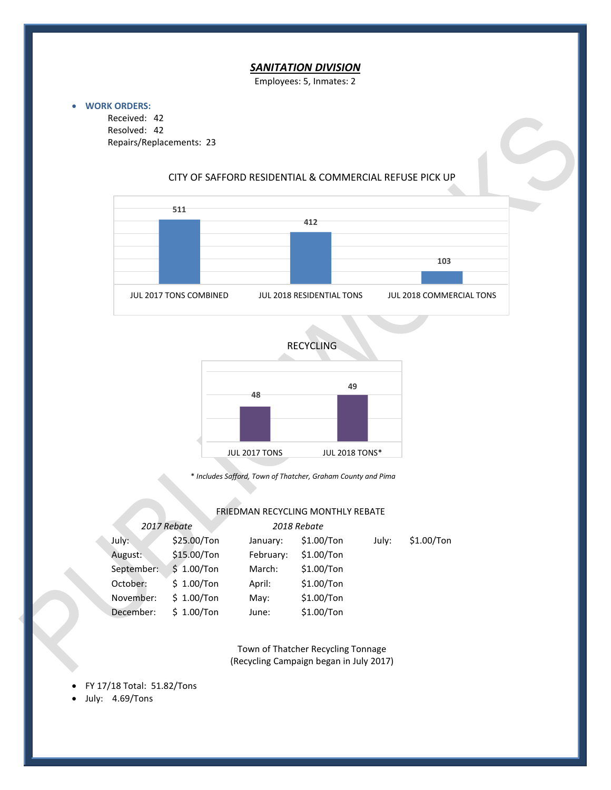# *SANITATION DIVISION*

Employees: 5, Inmates: 2

#### • **WORK ORDERS:**

Received: 42 Resolved: 42 Repairs/Replacements: 23

## CITY OF SAFFORD RESIDENTIAL & COMMERCIAL REFUSE PICK UP





\* *Includes Safford, Town of Thatcher, Graham County and Pima*

## **FRIEDMAN RECYCLING MONTHLY REBATE**

| 2017 Rebate |              | 2018 Rebate |              |       |              |
|-------------|--------------|-------------|--------------|-------|--------------|
| July:       | \$25.00/Ton  | January:    | $$1.00/T$ on | July: | $$1.00/T$ on |
| August:     | \$15.00/Ton  | February:   | $$1.00/T$ on |       |              |
| September:  | \$1.00/Ton   | March:      | $$1.00/T$ on |       |              |
| October:    | \$1.00/Ton   | April:      | $$1.00/T$ on |       |              |
| November:   | \$1.00/Ton   | May:        | $$1.00/T$ on |       |              |
| December:   | $$1.00/T$ on | June:       | $$1.00/T$ on |       |              |

Town of Thatcher Recycling Tonnage (Recycling Campaign began in July 2017)

3

• FY 17/18 Total: 51.82/Tons

• July: 4.69/Tons